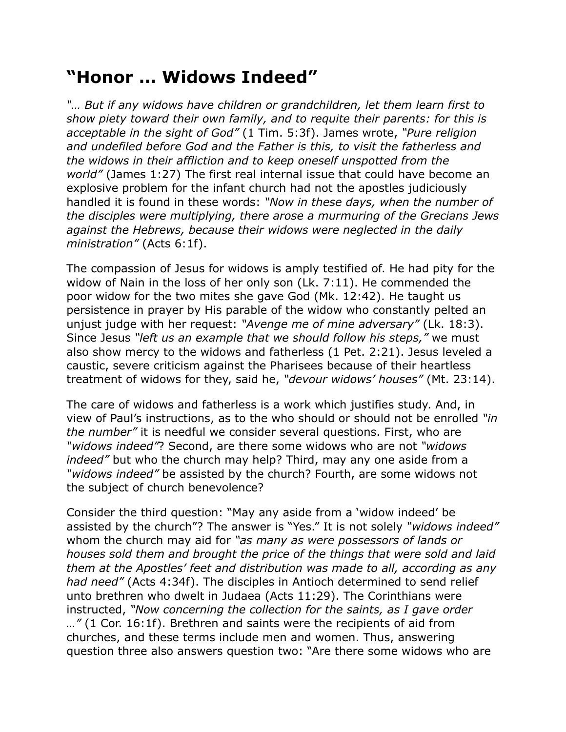## **"Honor … Widows Indeed"**

*"… But if any widows have children or grandchildren, let them learn first to show piety toward their own family, and to requite their parents: for this is acceptable in the sight of God"* (1 Tim. 5:3f). James wrote, *"Pure religion and undefiled before God and the Father is this, to visit the fatherless and the widows in their affliction and to keep oneself unspotted from the world"* (James 1:27) The first real internal issue that could have become an explosive problem for the infant church had not the apostles judiciously handled it is found in these words: *"Now in these days, when the number of the disciples were multiplying, there arose a murmuring of the Grecians Jews against the Hebrews, because their widows were neglected in the daily ministration"* (Acts 6:1f).

The compassion of Jesus for widows is amply testified of. He had pity for the widow of Nain in the loss of her only son (Lk. 7:11). He commended the poor widow for the two mites she gave God (Mk. 12:42). He taught us persistence in prayer by His parable of the widow who constantly pelted an unjust judge with her request: *"Avenge me of mine adversary"* (Lk. 18:3). Since Jesus *"left us an example that we should follow his steps,"* we must also show mercy to the widows and fatherless (1 Pet. 2:21). Jesus leveled a caustic, severe criticism against the Pharisees because of their heartless treatment of widows for they, said he, *"devour widows' houses"* (Mt. 23:14).

The care of widows and fatherless is a work which justifies study. And, in view of Paul's instructions, as to the who should or should not be enrolled *"in the number"* it is needful we consider several questions. First, who are *"widows indeed"*? Second, are there some widows who are not *"widows indeed"* but who the church may help? Third, may any one aside from a *"widows indeed"* be assisted by the church? Fourth, are some widows not the subject of church benevolence?

Consider the third question: "May any aside from a 'widow indeed' be assisted by the church"? The answer is "Yes." It is not solely *"widows indeed"* whom the church may aid for *"as many as were possessors of lands or houses sold them and brought the price of the things that were sold and laid them at the Apostles' feet and distribution was made to all, according as any had need"* (Acts 4:34f). The disciples in Antioch determined to send relief unto brethren who dwelt in Judaea (Acts 11:29). The Corinthians were instructed, *"Now concerning the collection for the saints, as I gave order …"* (1 Cor. 16:1f). Brethren and saints were the recipients of aid from churches, and these terms include men and women. Thus, answering question three also answers question two: "Are there some widows who are